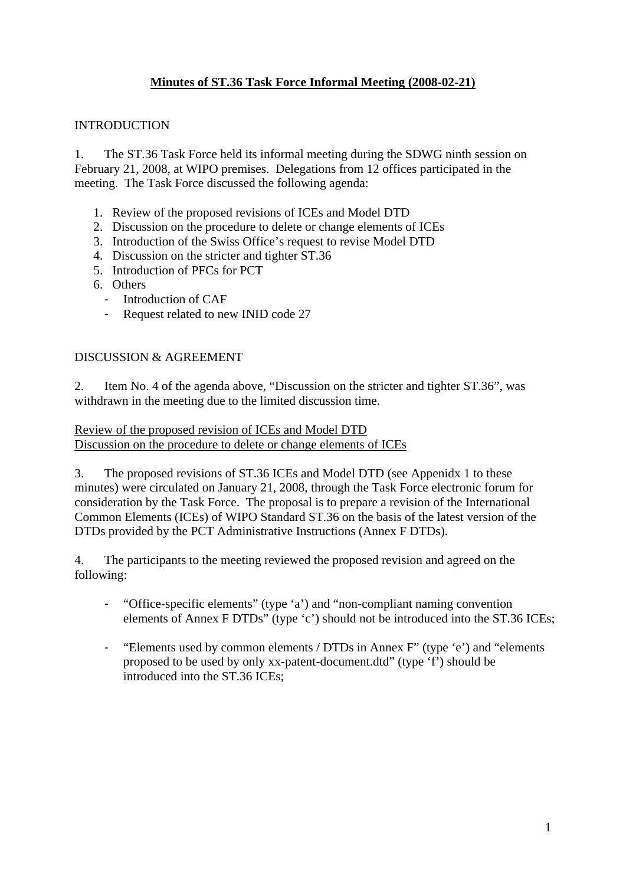## **Minutes of ST.36 Task Force Informal Meeting (2008-02-21)**

## **INTRODUCTION**

1. The ST.36 Task Force held its informal meeting during the SDWG ninth session on February 21, 2008, at WIPO premises. Delegations from 12 offices participated in the meeting. The Task Force discussed the following agenda:

- 1. Review of the proposed revisions of ICEs and Model DTD
- 2. Discussion on the procedure to delete or change elements of ICEs
- 3. Introduction of the Swiss Office's request to revise Model DTD
- 4. Discussion on the stricter and tighter ST.36
- 5. Introduction of PFCs for PCT
- 6. Others
	- Introduction of CAF
	- Request related to new INID code 27

## DISCUSSION & AGREEMENT

2. Item No. 4 of the agenda above, "Discussion on the stricter and tighter ST.36", was withdrawn in the meeting due to the limited discussion time.

Review of the proposed revision of ICEs and Model DTD Discussion on the procedure to delete or change elements of ICEs

3. The proposed revisions of ST.36 ICEs and Model DTD (see Appenidx 1 to these minutes) were circulated on January 21, 2008, through the Task Force electronic forum for consideration by the Task Force. The proposal is to prepare a revision of the International Common Elements (ICEs) of WIPO Standard ST.36 on the basis of the latest version of the DTDs provided by the PCT Administrative Instructions (Annex F DTDs).

4. The participants to the meeting reviewed the proposed revision and agreed on the following:

- "Office-specific elements" (type 'a') and "non-compliant naming convention elements of Annex F DTDs" (type 'c') should not be introduced into the ST.36 ICEs;
- "Elements used by common elements / DTDs in Annex F" (type 'e') and "elements proposed to be used by only xx-patent-document.dtd" (type 'f') should be introduced into the ST.36 ICEs;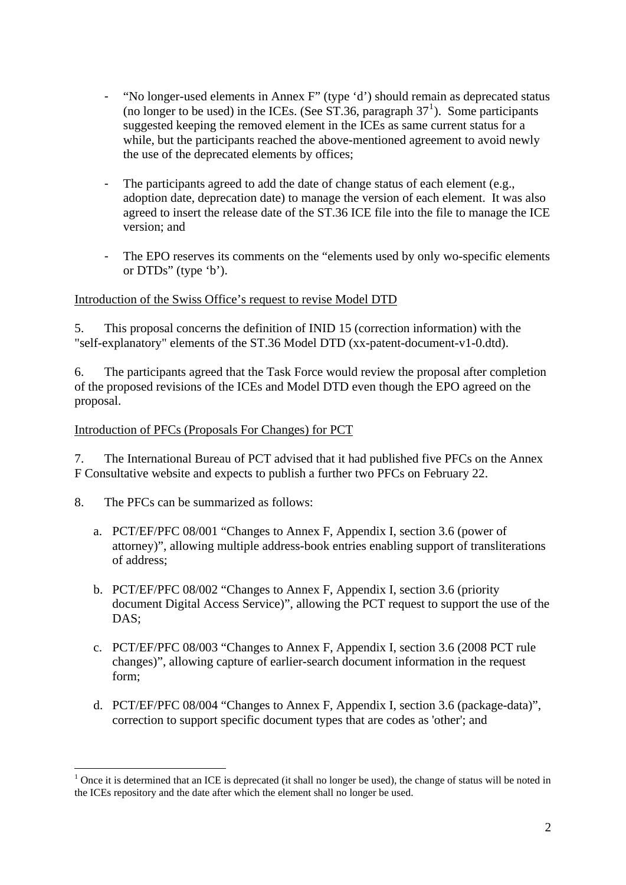- "No longer-used elements in Annex F" (type 'd') should remain as deprecated status (no longer to be used) in the ICEs. (See ST.36, paragraph  $37<sup>1</sup>$  $37<sup>1</sup>$  $37<sup>1</sup>$ ). Some participants suggested keeping the removed element in the ICEs as same current status for a while, but the participants reached the above-mentioned agreement to avoid newly the use of the deprecated elements by offices;
- The participants agreed to add the date of change status of each element (e.g., adoption date, deprecation date) to manage the version of each element. It was also agreed to insert the release date of the ST.36 ICE file into the file to manage the ICE version; and
- The EPO reserves its comments on the "elements used by only wo-specific elements or DTDs" (type 'b').

## Introduction of the Swiss Office's request to revise Model DTD

5. This proposal concerns the definition of INID 15 (correction information) with the "self-explanatory" elements of the ST.36 Model DTD (xx-patent-document-v1-0.dtd).

6. The participants agreed that the Task Force would review the proposal after completion of the proposed revisions of the ICEs and Model DTD even though the EPO agreed on the proposal.

#### Introduction of PFCs (Proposals For Changes) for PCT

7. The International Bureau of PCT advised that it had published five PFCs on the Annex F Consultative website and expects to publish a further two PFCs on February 22.

8. The PFCs can be summarized as follows:

1

- a. PCT/EF/PFC 08/001 "Changes to Annex F, Appendix I, section 3.6 (power of attorney)", allowing multiple address-book entries enabling support of transliterations of address;
- b. PCT/EF/PFC 08/002 "Changes to Annex F, Appendix I, section 3.6 (priority document Digital Access Service)", allowing the PCT request to support the use of the DAS;
- c. PCT/EF/PFC 08/003 "Changes to Annex F, Appendix I, section 3.6 (2008 PCT rule changes)", allowing capture of earlier-search document information in the request form;
- d. PCT/EF/PFC 08/004 "Changes to Annex F, Appendix I, section 3.6 (package-data)", correction to support specific document types that are codes as 'other'; and

<span id="page-1-0"></span> $1$  Once it is determined that an ICE is deprecated (it shall no longer be used), the change of status will be noted in the ICEs repository and the date after which the element shall no longer be used.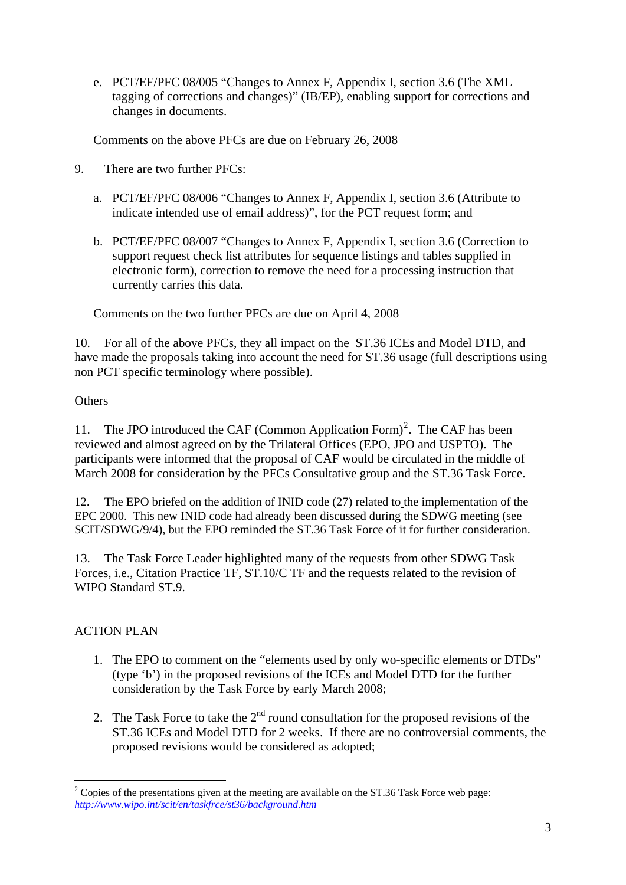e. PCT/EF/PFC 08/005 "Changes to Annex F, Appendix I, section 3.6 (The XML tagging of corrections and changes)" (IB/EP), enabling support for corrections and changes in documents.

Comments on the above PFCs are due on February 26, 2008

- 9. There are two further PFCs:
	- a. PCT/EF/PFC 08/006 "Changes to Annex F, Appendix I, section 3.6 (Attribute to indicate intended use of email address)", for the PCT request form; and
	- b. PCT/EF/PFC 08/007 "Changes to Annex F, Appendix I, section 3.6 (Correction to support request check list attributes for sequence listings and tables supplied in electronic form), correction to remove the need for a processing instruction that currently carries this data.

Comments on the two further PFCs are due on April 4, 2008

10. For all of the above PFCs, they all impact on the ST.36 ICEs and Model DTD, and have made the proposals taking into account the need for ST.36 usage (full descriptions using non PCT specific terminology where possible).

## **Others**

11. The JPO introduced the CAF (Common Application Form)<sup>[2](#page-2-0)</sup>. The CAF has been reviewed and almost agreed on by the Trilateral Offices (EPO, JPO and USPTO). The participants were informed that the proposal of CAF would be circulated in the middle of March 2008 for consideration by the PFCs Consultative group and the ST.36 Task Force.

12. The EPO briefed on the addition of INID code (27) related to the implementation of the EPC 2000. This new INID code had already been discussed during the SDWG meeting (see SCIT/SDWG/9/4), but the EPO reminded the ST.36 Task Force of it for further consideration.

13. The Task Force Leader highlighted many of the requests from other SDWG Task Forces, i.e., Citation Practice TF, ST.10/C TF and the requests related to the revision of WIPO Standard ST.9.

## ACTION PLAN

- 1. The EPO to comment on the "elements used by only wo-specific elements or DTDs" (type 'b') in the proposed revisions of the ICEs and Model DTD for the further consideration by the Task Force by early March 2008;
- 2. The Task Force to take the  $2<sup>nd</sup>$  round consultation for the proposed revisions of the ST.36 ICEs and Model DTD for 2 weeks. If there are no controversial comments, the proposed revisions would be considered as adopted;

<span id="page-2-0"></span><sup>1</sup>  $2^2$  Copies of the presentations given at the meeting are available on the ST.36 Task Force web page: *<http://www.wipo.int/scit/en/taskfrce/st36/background.htm>*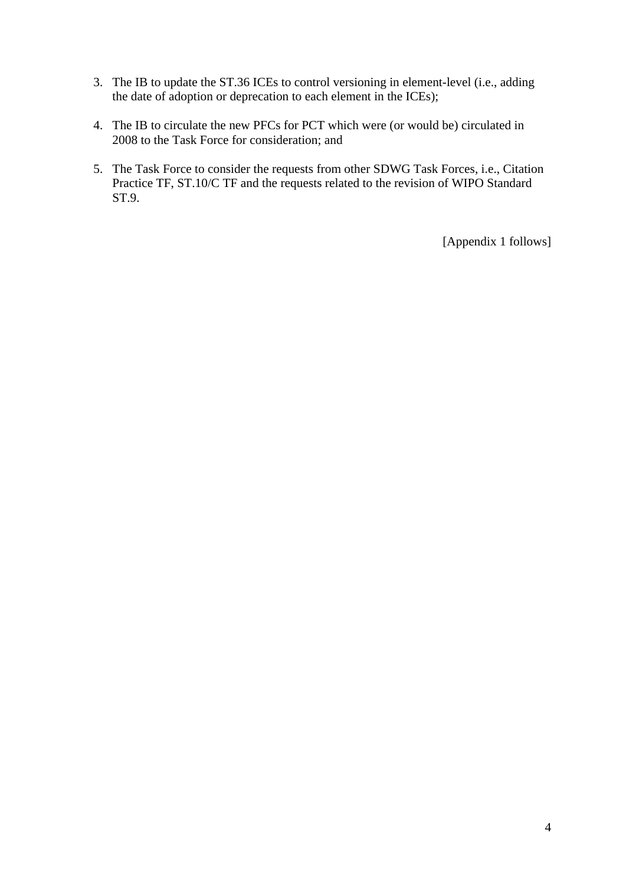- 3. The IB to update the ST.36 ICEs to control versioning in element-level (i.e., adding the date of adoption or deprecation to each element in the ICEs);
- 4. The IB to circulate the new PFCs for PCT which were (or would be) circulated in 2008 to the Task Force for consideration; and
- 5. The Task Force to consider the requests from other SDWG Task Forces, i.e., Citation Practice TF, ST.10/C TF and the requests related to the revision of WIPO Standard ST.9.

[Appendix 1 follows]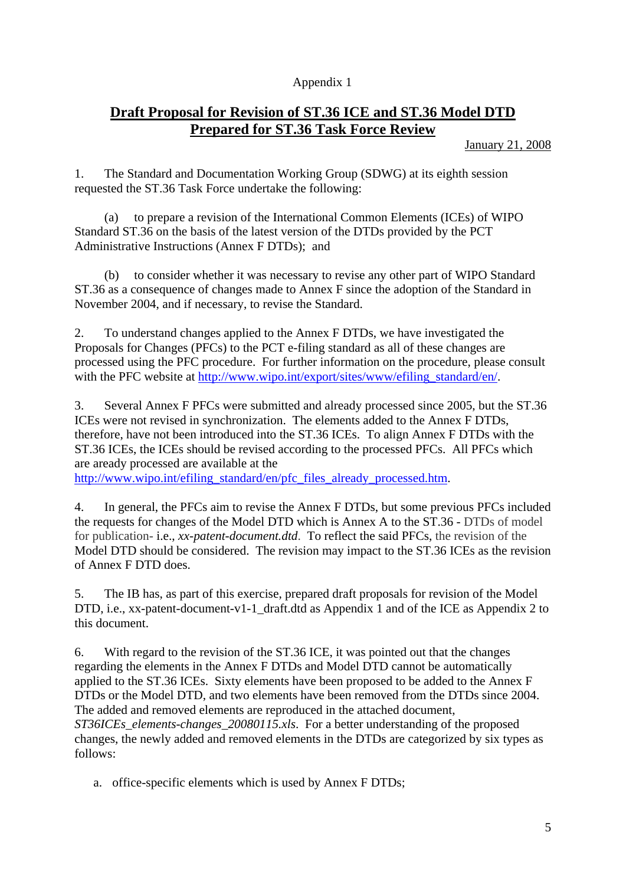## Appendix 1

# **Draft Proposal for Revision of ST.36 ICE and ST.36 Model DTD Prepared for ST.36 Task Force Review**

January 21, 2008

1. The Standard and Documentation Working Group (SDWG) at its eighth session requested the ST.36 Task Force undertake the following:

 (a) to prepare a revision of the International Common Elements (ICEs) of WIPO Standard ST.36 on the basis of the latest version of the DTDs provided by the PCT Administrative Instructions (Annex F DTDs); and

 (b) to consider whether it was necessary to revise any other part of WIPO Standard ST.36 as a consequence of changes made to Annex F since the adoption of the Standard in November 2004, and if necessary, to revise the Standard.

2. To understand changes applied to the Annex F DTDs, we have investigated the Proposals for Changes (PFCs) to the PCT e-filing standard as all of these changes are processed using the PFC procedure. For further information on the procedure, please consult with the PFC website at [http://www.wipo.int/export/sites/www/efiling\\_standard/en/](http://www.wipo.int/export/sites/www/efiling_standard/en/).

3. Several Annex F PFCs were submitted and already processed since 2005, but the ST.36 ICEs were not revised in synchronization. The elements added to the Annex F DTDs, therefore, have not been introduced into the ST.36 ICEs. To align Annex F DTDs with the ST.36 ICEs, the ICEs should be revised according to the processed PFCs. All PFCs which are aready processed are available at the

[http://www.wipo.int/efiling\\_standard/en/pfc\\_files\\_already\\_processed.htm.](http://www.wipo.int/efiling_standard/en/pfc_files_already_processed.htm)

4. In general, the PFCs aim to revise the Annex F DTDs, but some previous PFCs included the requests for changes of the Model DTD which is Annex A to the ST.36 - DTDs of model for publication- i.e., *xx-patent-document.dtd*. To reflect the said PFCs, the revision of the Model DTD should be considered. The revision may impact to the ST.36 ICEs as the revision of Annex F DTD does.

5. The IB has, as part of this exercise, prepared draft proposals for revision of the Model DTD, i.e., xx-patent-document-v1-1 draft.dtd as Appendix 1 and of the ICE as Appendix 2 to this document.

6. With regard to the revision of the ST.36 ICE, it was pointed out that the changes regarding the elements in the Annex F DTDs and Model DTD cannot be automatically applied to the ST.36 ICEs. Sixty elements have been proposed to be added to the Annex F DTDs or the Model DTD, and two elements have been removed from the DTDs since 2004. The added and removed elements are reproduced in the attached document, *ST36ICEs\_elements-changes\_20080115.xls*. For a better understanding of the proposed changes, the newly added and removed elements in the DTDs are categorized by six types as follows:

a. office-specific elements which is used by Annex F DTDs;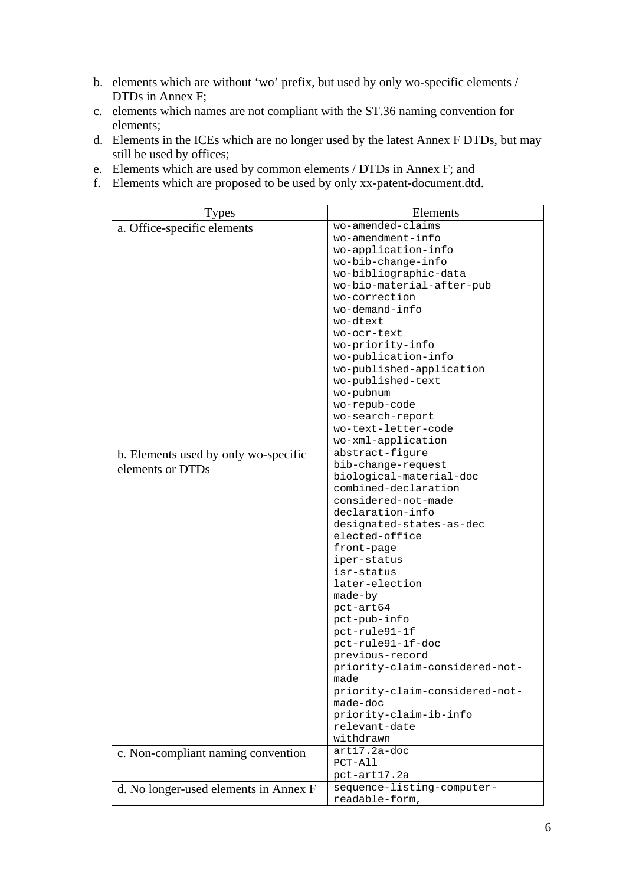- b. elements which are without 'wo' prefix, but used by only wo-specific elements / DTDs in Annex F;
- c. elements which names are not compliant with the ST.36 naming convention for elements;
- d. Elements in the ICEs which are no longer used by the latest Annex F DTDs, but may still be used by offices;
- e. Elements which are used by common elements / DTDs in Annex F; and
- f. Elements which are proposed to be used by only xx-patent-document.dtd.

| Types                                 | Elements                                        |
|---------------------------------------|-------------------------------------------------|
| a. Office-specific elements           | wo-amended-claims                               |
|                                       | wo-amendment-info                               |
|                                       | wo-application-info                             |
|                                       | wo-bib-change-info                              |
|                                       | wo-bibliographic-data                           |
|                                       | wo-bio-material-after-pub                       |
|                                       | wo-correction                                   |
|                                       | wo-demand-info                                  |
|                                       | wo-dtext                                        |
|                                       | wo-ocr-text                                     |
|                                       | wo-priority-info                                |
|                                       | wo-publication-info                             |
|                                       | wo-published-application                        |
|                                       | wo-published-text                               |
|                                       | wo-pubnum                                       |
|                                       | wo-repub-code                                   |
|                                       | wo-search-report                                |
|                                       | wo-text-letter-code                             |
|                                       | wo-xml-application                              |
| b. Elements used by only wo-specific  | abstract-figure                                 |
| elements or DTDs                      | bib-change-request                              |
|                                       | biological-material-doc<br>combined-declaration |
|                                       | considered-not-made                             |
|                                       | declaration-info                                |
|                                       | designated-states-as-dec                        |
|                                       | elected-office                                  |
|                                       | front-page                                      |
|                                       | iper-status                                     |
|                                       | isr-status                                      |
|                                       | later-election                                  |
|                                       | made-by                                         |
|                                       | pct-art64                                       |
|                                       | pct-pub-info                                    |
|                                       | pct-rule91-1f                                   |
|                                       | pct-rule91-1f-doc                               |
|                                       | previous-record                                 |
|                                       | priority-claim-considered-not-                  |
|                                       | made                                            |
|                                       | priority-claim-considered-not-                  |
|                                       | made-doc                                        |
|                                       | priority-claim-ib-info                          |
|                                       | relevant-date                                   |
|                                       | withdrawn                                       |
| c. Non-compliant naming convention    | art17.2a-doc                                    |
|                                       | $PCT-All$                                       |
|                                       | pct-art17.2a                                    |
| d. No longer-used elements in Annex F | sequence-listing-computer-                      |
|                                       | readable-form,                                  |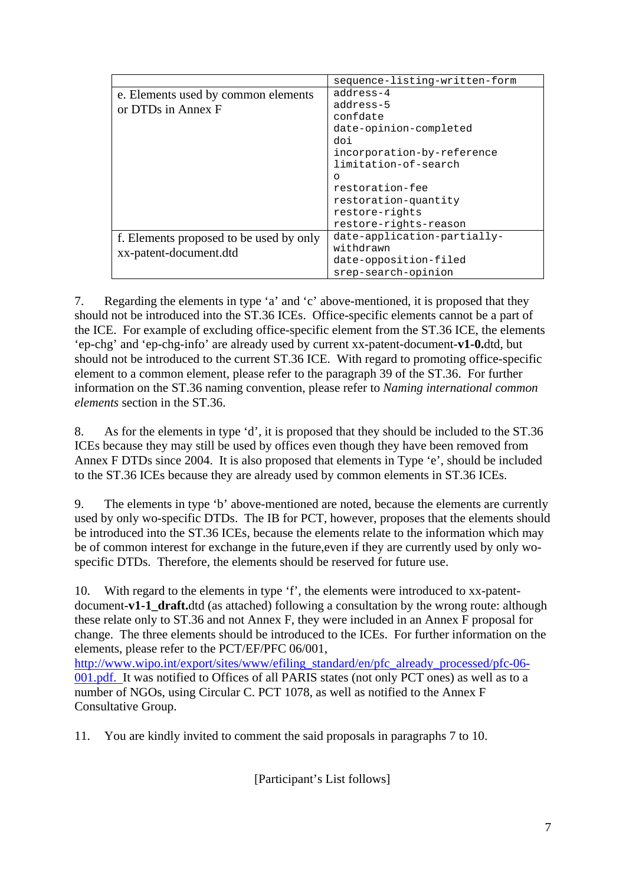|                                         | sequence-listing-written-form |
|-----------------------------------------|-------------------------------|
| e. Elements used by common elements     | address-4                     |
| or DTDs in Annex F                      | address-5                     |
|                                         | confdate                      |
|                                         | date-opinion-completed        |
|                                         | doi                           |
|                                         | incorporation-by-reference    |
|                                         | limitation-of-search          |
|                                         | O                             |
|                                         | restoration-fee               |
|                                         | restoration-quantity          |
|                                         | restore-rights                |
|                                         | restore-rights-reason         |
| f. Elements proposed to be used by only | date-application-partially-   |
| xx-patent-document.dtd                  | withdrawn                     |
|                                         | date-opposition-filed         |
|                                         | srep-search-opinion           |

7. Regarding the elements in type 'a' and 'c' above-mentioned, it is proposed that they should not be introduced into the ST.36 ICEs. Office-specific elements cannot be a part of the ICE. For example of excluding office-specific element from the ST.36 ICE, the elements 'ep-chg' and 'ep-chg-info' are already used by current xx-patent-document-**v1-0.**dtd, but should not be introduced to the current ST.36 ICE. With regard to promoting office-specific element to a common element, please refer to the paragraph 39 of the ST.36. For further information on the ST.36 naming convention, please refer to *Naming international common elements* section in the ST.36.

8. As for the elements in type 'd', it is proposed that they should be included to the ST.36 ICEs because they may still be used by offices even though they have been removed from Annex F DTDs since 2004. It is also proposed that elements in Type 'e', should be included to the ST.36 ICEs because they are already used by common elements in ST.36 ICEs.

9. The elements in type 'b' above-mentioned are noted, because the elements are currently used by only wo-specific DTDs. The IB for PCT, however, proposes that the elements should be introduced into the ST.36 ICEs, because the elements relate to the information which may be of common interest for exchange in the future,even if they are currently used by only wospecific DTDs. Therefore, the elements should be reserved for future use.

10. With regard to the elements in type 'f', the elements were introduced to xx-patentdocument-**v1-1** draft.dtd (as attached) following a consultation by the wrong route: although these relate only to ST.36 and not Annex F, they were included in an Annex F proposal for change. The three elements should be introduced to the ICEs. For further information on the elements, please refer to the PCT/EF/PFC 06/001,

[http://www.wipo.int/export/sites/www/efiling\\_standard/en/pfc\\_already\\_processed/pfc-06-](http://www.wipo.int/export/sites/www/efiling_standard/en/pfc_already_processed/pfc-06-001.pdf) [001.pdf.](http://www.wipo.int/export/sites/www/efiling_standard/en/pfc_already_processed/pfc-06-001.pdf) It was notified to Offices of all PARIS states (not only PCT ones) as well as to a number of NGOs, using Circular C. PCT 1078, as well as notified to the Annex F Consultative Group.

11. You are kindly invited to comment the said proposals in paragraphs 7 to 10.

[Participant's List follows]